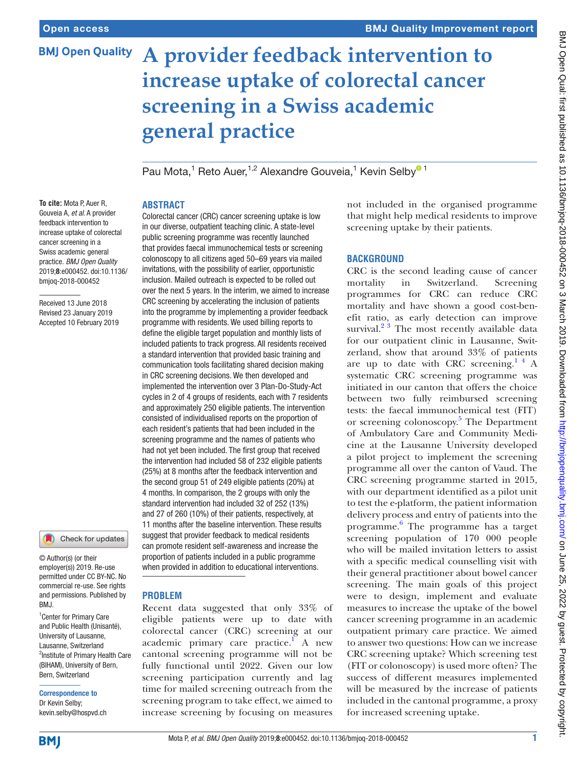# **BMJ Open Quality**

# **A provider feedback intervention to increase uptake of colorectal cancer screening in a Swiss academic general practice**

Pau Mota,<sup>1</sup> Reto Auer,<sup>1,2</sup> Alexandre Gouveia,<sup>1</sup> Kevin Selby<sup>® 1</sup>

#### **Abstract**

**To cite:** Mota P, Auer R, Gouveia A, *et al*. A provider feedback intervention to increase uptake of colorectal cancer screening in a Swiss academic general practice. *BMJ Open Quality* 2019;8:e000452. doi:10.1136/ bmjoq-2018-000452

Received 13 June 2018 Revised 23 January 2019 Accepted 10 February 2019

#### Check for updates

© Author(s) (or their employer(s)) 2019. Re-use permitted under CC BY-NC. No commercial re-use. See rights and permissions. Published by RM<sub>J</sub>

<sup>1</sup> Center for Primary Care and Public Health (Unisanté), University of Lausanne, Lausanne, Switzerland 2 Institute of Primary Health Care (BIHAM), University of Bern, Bern, Switzerland

Correspondence to Dr Kevin Selby; kevin.selby@hospvd.ch

Colorectal cancer (CRC) cancer screening uptake is low in our diverse, outpatient teaching clinic. A state-level public screening programme was recently launched that provides faecal immunochemical tests or screening colonoscopy to all citizens aged 50–69 years via mailed invitations, with the possibility of earlier, opportunistic inclusion. Mailed outreach is expected to be rolled out over the next 5 years. In the interim, we aimed to increase CRC screening by accelerating the inclusion of patients into the programme by implementing a provider feedback programme with residents. We used billing reports to define the eligible target population and monthly lists of included patients to track progress. All residents received a standard intervention that provided basic training and communication tools facilitating shared decision making in CRC screening decisions. We then developed and implemented the intervention over 3 Plan-Do-Study-Act cycles in 2 of 4 groups of residents, each with 7 residents and approximately 250 eligible patients. The intervention consisted of individualised reports on the proportion of each resident's patients that had been included in the screening programme and the names of patients who had not yet been included. The first group that received the intervention had included 58 of 232 eligible patients (25%) at 8 months after the feedback intervention and the second group 51 of 249 eligible patients (20%) at 4 months. In comparison, the 2 groups with only the standard intervention had included 32 of 252 (13%) and 27 of 260 (10%) of their patients, respectively, at 11 months after the baseline intervention. These results suggest that provider feedback to medical residents can promote resident self-awareness and increase the proportion of patients included in a public programme when provided in addition to educational interventions.

#### **Problem**

Recent data suggested that only 33% of eligible patients were up to date with colorectal cancer (CRC) screening at our academic primary care practice.<sup>I</sup> A new cantonal screening programme will not be fully functional until 2022. Given our low screening participation currently and lag time for mailed screening outreach from the screening program to take effect, we aimed to increase screening by focusing on measures

not included in the organised programme that might help medical residents to improve screening uptake by their patients.

#### **BACKGROUND**

CRC is the second leading cause of cancer mortality in Switzerland. Screening programmes for CRC can reduce CRC mortality and have shown a good cost-benefit ratio, as early detection can improve survival. $2^3$  The most recently available data for our outpatient clinic in Lausanne, Switzerland, show that around 33% of patients are up to date with CRC screening.<sup>14</sup> A systematic CRC screening programme was initiated in our canton that offers the choice between two fully reimbursed screening tests: the faecal immunochemical test (FIT) or screening colonoscopy.<sup>5</sup> The Department of Ambulatory Care and Community Medicine at the Lausanne University developed a pilot project to implement the screening programme all over the canton of Vaud. The CRC screening programme started in 2015, with our department identified as a pilot unit to test the e-platform, the patient information delivery process and entry of patients into the programme. [6](#page-4-3) The programme has a target screening population of 170 000 people who will be mailed invitation letters to assist with a specific medical counselling visit with their general practitioner about bowel cancer screening. The main goals of this project were to design, implement and evaluate measures to increase the uptake of the bowel cancer screening programme in an academic outpatient primary care practice. We aimed to answer two questions: How can we increase CRC screening uptake? Which screening test (FIT or colonoscopy) is used more often? The success of different measures implemented will be measured by the increase of patients included in the cantonal programme, a proxy for increased screening uptake.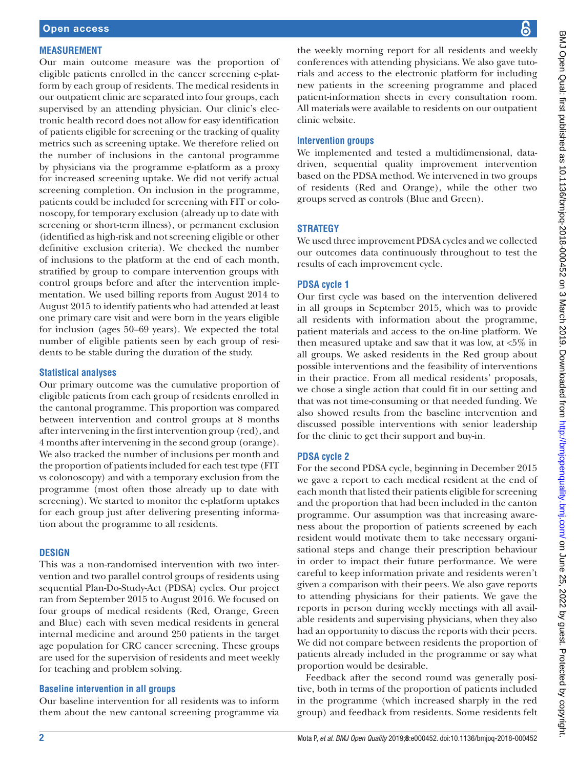# **Measurement**

Our main outcome measure was the proportion of eligible patients enrolled in the cancer screening e-platform by each group of residents. The medical residents in our outpatient clinic are separated into four groups, each supervised by an attending physician. Our clinic's electronic health record does not allow for easy identification of patients eligible for screening or the tracking of quality metrics such as screening uptake. We therefore relied on the number of inclusions in the cantonal programme by physicians via the programme e-platform as a proxy for increased screening uptake. We did not verify actual screening completion. On inclusion in the programme, patients could be included for screening with FIT or colonoscopy, for temporary exclusion (already up to date with screening or short-term illness), or permanent exclusion (identified as high-risk and not screening eligible or other definitive exclusion criteria). We checked the number of inclusions to the platform at the end of each month, stratified by group to compare intervention groups with control groups before and after the intervention implementation. We used billing reports from August 2014 to August 2015 to identify patients who had attended at least one primary care visit and were born in the years eligible for inclusion (ages 50–69 years). We expected the total number of eligible patients seen by each group of residents to be stable during the duration of the study.

# **Statistical analyses**

Our primary outcome was the cumulative proportion of eligible patients from each group of residents enrolled in the cantonal programme. This proportion was compared between intervention and control groups at 8 months after intervening in the first intervention group (red), and 4 months after intervening in the second group (orange). We also tracked the number of inclusions per month and the proportion of patients included for each test type (FIT vs colonoscopy) and with a temporary exclusion from the programme (most often those already up to date with screening). We started to monitor the e-platform uptakes for each group just after delivering presenting information about the programme to all residents.

#### **Design**

This was a non-randomised intervention with two intervention and two parallel control groups of residents using sequential Plan-Do-Study-Act (PDSA) cycles. Our project ran from September 2015 to August 2016. We focused on four groups of medical residents (Red, Orange, Green and Blue) each with seven medical residents in general internal medicine and around 250 patients in the target age population for CRC cancer screening. These groups are used for the supervision of residents and meet weekly for teaching and problem solving.

# **Baseline intervention in all groups**

Our baseline intervention for all residents was to inform them about the new cantonal screening programme via

the weekly morning report for all residents and weekly conferences with attending physicians. We also gave tutorials and access to the electronic platform for including new patients in the screening programme and placed patient-information sheets in every consultation room. All materials were available to residents on our outpatient clinic website.

# **Intervention groups**

We implemented and tested a multidimensional, datadriven, sequential quality improvement intervention based on the PDSA method. We intervened in two groups of residents (Red and Orange), while the other two groups served as controls (Blue and Green).

# **Strategy**

We used three improvement PDSA cycles and we collected our outcomes data continuously throughout to test the results of each improvement cycle.

# **PDSA cycle 1**

Our first cycle was based on the intervention delivered in all groups in September 2015, which was to provide all residents with information about the programme, patient materials and access to the on-line platform. We then measured uptake and saw that it was low, at  $<5\%$  in all groups. We asked residents in the Red group about possible interventions and the feasibility of interventions in their practice. From all medical residents' proposals, we chose a single action that could fit in our setting and that was not time-consuming or that needed funding. We also showed results from the baseline intervention and discussed possible interventions with senior leadership for the clinic to get their support and buy-in.

# **PDSA cycle 2**

For the second PDSA cycle, beginning in December 2015 we gave a report to each medical resident at the end of each month that listed their patients eligible for screening and the proportion that had been included in the canton programme. Our assumption was that increasing awareness about the proportion of patients screened by each resident would motivate them to take necessary organisational steps and change their prescription behaviour in order to impact their future performance. We were careful to keep information private and residents weren't given a comparison with their peers. We also gave reports to attending physicians for their patients. We gave the reports in person during weekly meetings with all available residents and supervising physicians, when they also had an opportunity to discuss the reports with their peers. We did not compare between residents the proportion of patients already included in the programme or say what proportion would be desirable.

Feedback after the second round was generally positive, both in terms of the proportion of patients included in the programme (which increased sharply in the red group) and feedback from residents. Some residents felt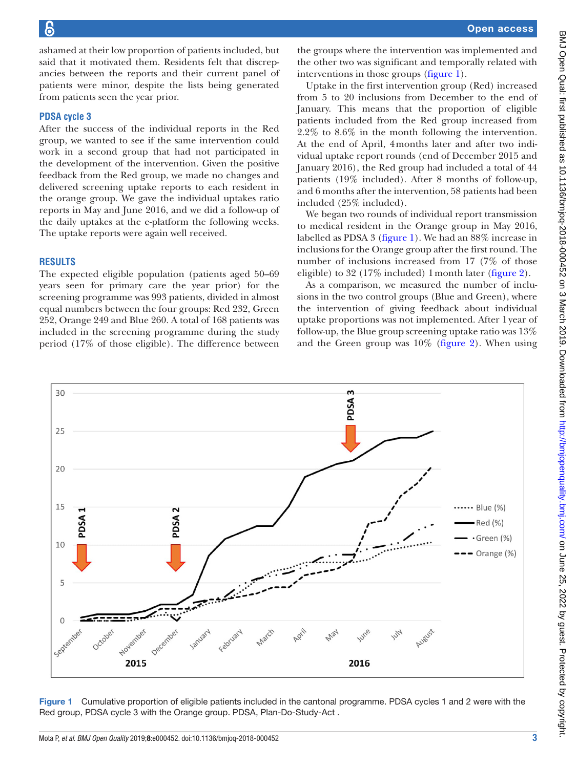ashamed at their low proportion of patients included, but said that it motivated them. Residents felt that discrepancies between the reports and their current panel of patients were minor, despite the lists being generated from patients seen the year prior.

#### **PDSA cycle 3**

After the success of the individual reports in the Red group, we wanted to see if the same intervention could work in a second group that had not participated in the development of the intervention. Given the positive feedback from the Red group, we made no changes and delivered screening uptake reports to each resident in the orange group. We gave the individual uptakes ratio reports in May and June 2016, and we did a follow-up of the daily uptakes at the e-platform the following weeks. The uptake reports were again well received.

#### **Results**

The expected eligible population (patients aged 50–69 years seen for primary care the year prior) for the screening programme was 993 patients, divided in almost equal numbers between the four groups: Red 232, Green 252, Orange 249 and Blue 260. A total of 168 patients was included in the screening programme during the study period (17% of those eligible). The difference between

the groups where the intervention was implemented and the other two was significant and temporally related with interventions in those groups ([figure](#page-2-0) 1).

Uptake in the first intervention group (Red) increased from 5 to 20 inclusions from December to the end of January. This means that the proportion of eligible patients included from the Red group increased from 2.2% to 8.6% in the month following the intervention. At the end of April, 4months later and after two individual uptake report rounds (end of December 2015 and January 2016), the Red group had included a total of 44 patients (19% included). After 8 months of follow-up, and 6 months after the intervention, 58 patients had been included (25% included).

We began two rounds of individual report transmission to medical resident in the Orange group in May 2016, labelled as PDSA 3 [\(figure](#page-2-0) 1). We had an 88% increase in inclusions for the Orange group after the first round. The number of inclusions increased from 17 (7% of those eligible) to 32 (17% included) 1month later ([figure](#page-3-0) 2).

As a comparison, we measured the number of inclusions in the two control groups (Blue and Green), where the intervention of giving feedback about individual uptake proportions was not implemented. After 1year of follow-up, the Blue group screening uptake ratio was 13% and the Green group was 10% ([figure](#page-3-0) 2). When using



<span id="page-2-0"></span>Figure 1 Cumulative proportion of eligible patients included in the cantonal programme. PDSA cycles 1 and 2 were with the Red group, PDSA cycle 3 with the Orange group. PDSA, Plan-Do-Study-Act .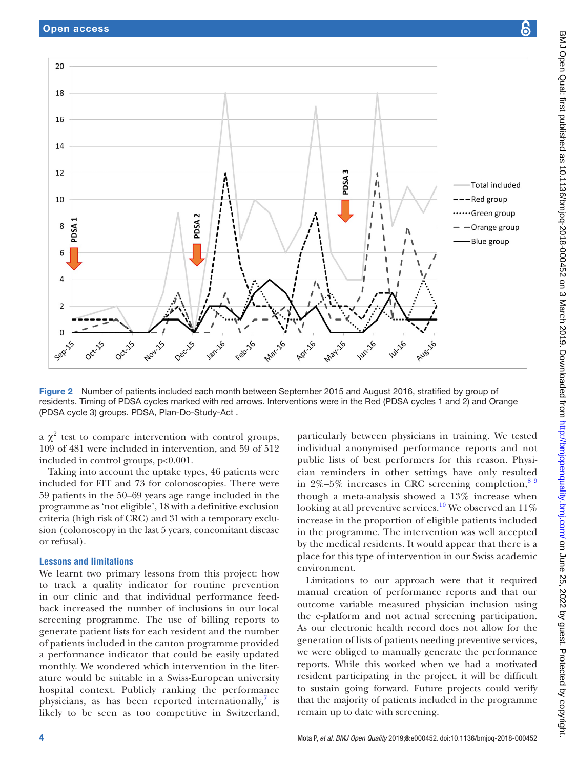

<span id="page-3-0"></span>Figure 2 Number of patients included each month between September 2015 and August 2016, stratified by group of residents. Timing of PDSA cycles marked with red arrows. Interventions were in the Red (PDSA cycles 1 and 2) and Orange (PDSA cycle 3) groups. PDSA, Plan-Do-Study-Act .

a  $\chi^2$  test to compare intervention with control groups, 109 of 481 were included in intervention, and 59 of 512 included in control groups, p<0.001.

Taking into account the uptake types, 46 patients were included for FIT and 73 for colonoscopies. There were 59 patients in the 50–69 years age range included in the programme as 'not eligible', 18 with a definitive exclusion criteria (high risk of CRC) and 31 with a temporary exclusion (colonoscopy in the last 5 years, concomitant disease or refusal).

#### **Lessons and limitations**

We learnt two primary lessons from this project: how to track a quality indicator for routine prevention in our clinic and that individual performance feedback increased the number of inclusions in our local screening programme. The use of billing reports to generate patient lists for each resident and the number of patients included in the canton programme provided a performance indicator that could be easily updated monthly. We wondered which intervention in the literature would be suitable in a Swiss-European university hospital context. Publicly ranking the performance physicians, as has been reported internationally, $\frac{7}{1}$  $\frac{7}{1}$  $\frac{7}{1}$  is likely to be seen as too competitive in Switzerland,

particularly between physicians in training. We tested individual anonymised performance reports and not public lists of best performers for this reason. Physician reminders in other settings have only resulted in  $2\% - 5\%$  increases in CRC screening completion,<sup>89</sup> though a meta-analysis showed a 13% increase when looking at all preventive services.<sup>10</sup> We observed an  $11\%$ increase in the proportion of eligible patients included in the programme. The intervention was well accepted by the medical residents. It would appear that there is a place for this type of intervention in our Swiss academic environment.

Limitations to our approach were that it required manual creation of performance reports and that our outcome variable measured physician inclusion using the e-platform and not actual screening participation. As our electronic health record does not allow for the generation of lists of patients needing preventive services, we were obliged to manually generate the performance reports. While this worked when we had a motivated resident participating in the project, it will be difficult to sustain going forward. Future projects could verify that the majority of patients included in the programme remain up to date with screening.